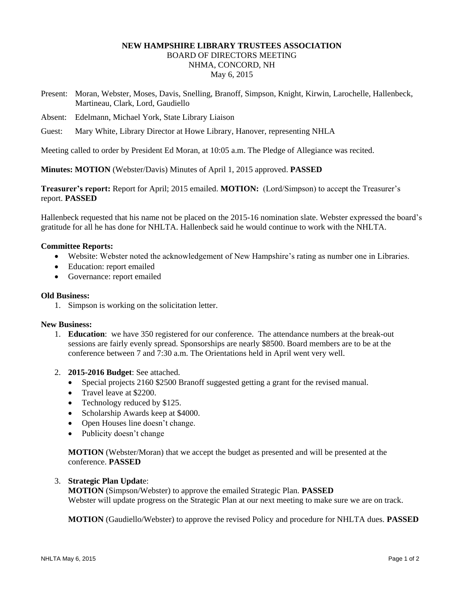# **NEW HAMPSHIRE LIBRARY TRUSTEES ASSOCIATION** BOARD OF DIRECTORS MEETING NHMA, CONCORD, NH May 6, 2015

- Present: Moran, Webster, Moses, Davis, Snelling, Branoff, Simpson, Knight, Kirwin, Larochelle, Hallenbeck, Martineau, Clark, Lord, Gaudiello
- Absent: Edelmann, Michael York, State Library Liaison
- Guest: Mary White, Library Director at Howe Library, Hanover, representing NHLA

Meeting called to order by President Ed Moran, at 10:05 a.m. The Pledge of Allegiance was recited.

**Minutes: MOTION** (Webster/Davis) Minutes of April 1, 2015 approved. **PASSED**

**Treasurer's report:** Report for April; 2015 emailed. **MOTION:** (Lord/Simpson) to accept the Treasurer's report. **PASSED**

Hallenbeck requested that his name not be placed on the 2015-16 nomination slate. Webster expressed the board's gratitude for all he has done for NHLTA. Hallenbeck said he would continue to work with the NHLTA.

# **Committee Reports:**

- Website: Webster noted the acknowledgement of New Hampshire's rating as number one in Libraries.
- Education: report emailed
- Governance: report emailed

# **Old Business:**

1. Simpson is working on the solicitation letter.

# **New Business:**

- 1. **Education**: we have 350 registered for our conference. The attendance numbers at the break-out sessions are fairly evenly spread. Sponsorships are nearly \$8500. Board members are to be at the conference between 7 and 7:30 a.m. The Orientations held in April went very well.
- 2. **2015-2016 Budget**: See attached.
	- Special projects 2160 \$2500 Branoff suggested getting a grant for the revised manual.
	- Travel leave at \$2200.
	- Technology reduced by \$125.
	- Scholarship Awards keep at \$4000.
	- Open Houses line doesn't change.
	- Publicity doesn't change

**MOTION** (Webster/Moran) that we accept the budget as presented and will be presented at the conference. **PASSED**

# 3. **Strategic Plan Updat**e:

**MOTION** (Simpson/Webster) to approve the emailed Strategic Plan. **PASSED** Webster will update progress on the Strategic Plan at our next meeting to make sure we are on track.

**MOTION** (Gaudiello/Webster) to approve the revised Policy and procedure for NHLTA dues. **PASSED**